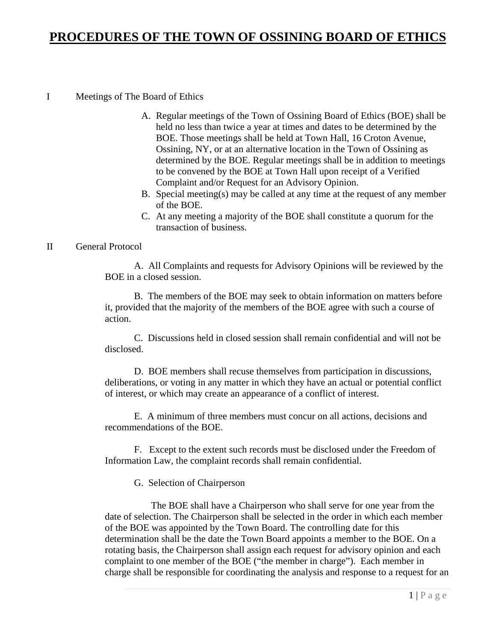# **PROCEDURES OF THE TOWN OF OSSINING BOARD OF ETHICS**

#### I Meetings of The Board of Ethics

- A. Regular meetings of the Town of Ossining Board of Ethics (BOE) shall be held no less than twice a year at times and dates to be determined by the BOE. Those meetings shall be held at Town Hall, 16 Croton Avenue, Ossining, NY, or at an alternative location in the Town of Ossining as determined by the BOE. Regular meetings shall be in addition to meetings to be convened by the BOE at Town Hall upon receipt of a Verified Complaint and/or Request for an Advisory Opinion.
- B. Special meeting(s) may be called at any time at the request of any member of the BOE.
- C. At any meeting a majority of the BOE shall constitute a quorum for the transaction of business.

#### II General Protocol

A. All Complaints and requests for Advisory Opinions will be reviewed by the BOE in a closed session.

B. The members of the BOE may seek to obtain information on matters before it, provided that the majority of the members of the BOE agree with such a course of action.

C. Discussions held in closed session shall remain confidential and will not be disclosed.

D. BOE members shall recuse themselves from participation in discussions, deliberations, or voting in any matter in which they have an actual or potential conflict of interest, or which may create an appearance of a conflict of interest.

E. A minimum of three members must concur on all actions, decisions and recommendations of the BOE.

F. Except to the extent such records must be disclosed under the Freedom of Information Law, the complaint records shall remain confidential.

G. Selection of Chairperson

 The BOE shall have a Chairperson who shall serve for one year from the date of selection. The Chairperson shall be selected in the order in which each member of the BOE was appointed by the Town Board. The controlling date for this determination shall be the date the Town Board appoints a member to the BOE. On a rotating basis, the Chairperson shall assign each request for advisory opinion and each complaint to one member of the BOE ("the member in charge"). Each member in charge shall be responsible for coordinating the analysis and response to a request for an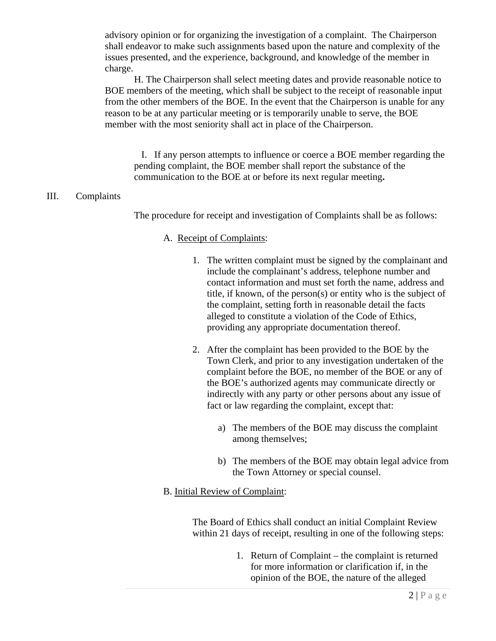advisory opinion or for organizing the investigation of a complaint. The Chairperson shall endeavor to make such assignments based upon the nature and complexity of the issues presented, and the experience, background, and knowledge of the member in charge.

H. The Chairperson shall select meeting dates and provide reasonable notice to BOE members of the meeting, which shall be subject to the receipt of reasonable input from the other members of the BOE. In the event that the Chairperson is unable for any reason to be at any particular meeting or is temporarily unable to serve, the BOE member with the most seniority shall act in place of the Chairperson.

I. If any person attempts to influence or coerce a BOE member regarding the pending complaint, the BOE member shall report the substance of the communication to the BOE at or before its next regular meeting**.** 

### III. Complaints

The procedure for receipt and investigation of Complaints shall be as follows:

#### A. Receipt of Complaints:

- 1. The written complaint must be signed by the complainant and include the complainant's address, telephone number and contact information and must set forth the name, address and title, if known, of the person(s) or entity who is the subject of the complaint, setting forth in reasonable detail the facts alleged to constitute a violation of the Code of Ethics, providing any appropriate documentation thereof.
- 2. After the complaint has been provided to the BOE by the Town Clerk, and prior to any investigation undertaken of the complaint before the BOE, no member of the BOE or any of the BOE's authorized agents may communicate directly or indirectly with any party or other persons about any issue of fact or law regarding the complaint, except that:
	- a) The members of the BOE may discuss the complaint among themselves;
	- b) The members of the BOE may obtain legal advice from the Town Attorney or special counsel.

#### B. Initial Review of Complaint:

The Board of Ethics shall conduct an initial Complaint Review within 21 days of receipt, resulting in one of the following steps:

> 1. Return of Complaint – the complaint is returned for more information or clarification if, in the opinion of the BOE, the nature of the alleged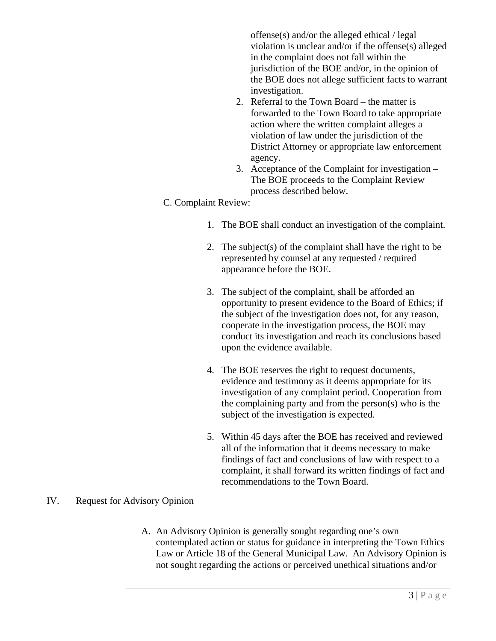offense(s) and/or the alleged ethical / legal violation is unclear and/or if the offense(s) alleged in the complaint does not fall within the jurisdiction of the BOE and/or, in the opinion of the BOE does not allege sufficient facts to warrant investigation.

- 2. Referral to the Town Board the matter is forwarded to the Town Board to take appropriate action where the written complaint alleges a violation of law under the jurisdiction of the District Attorney or appropriate law enforcement agency.
- 3. Acceptance of the Complaint for investigation The BOE proceeds to the Complaint Review process described below.

## C. Complaint Review:

- 1. The BOE shall conduct an investigation of the complaint.
- 2. The subject(s) of the complaint shall have the right to be represented by counsel at any requested / required appearance before the BOE.
- 3. The subject of the complaint, shall be afforded an opportunity to present evidence to the Board of Ethics; if the subject of the investigation does not, for any reason, cooperate in the investigation process, the BOE may conduct its investigation and reach its conclusions based upon the evidence available.
- 4. The BOE reserves the right to request documents, evidence and testimony as it deems appropriate for its investigation of any complaint period. Cooperation from the complaining party and from the person(s) who is the subject of the investigation is expected.
- 5. Within 45 days after the BOE has received and reviewed all of the information that it deems necessary to make findings of fact and conclusions of law with respect to a complaint, it shall forward its written findings of fact and recommendations to the Town Board.

#### IV. Request for Advisory Opinion

A. An Advisory Opinion is generally sought regarding one's own contemplated action or status for guidance in interpreting the Town Ethics Law or Article 18 of the General Municipal Law. An Advisory Opinion is not sought regarding the actions or perceived unethical situations and/or